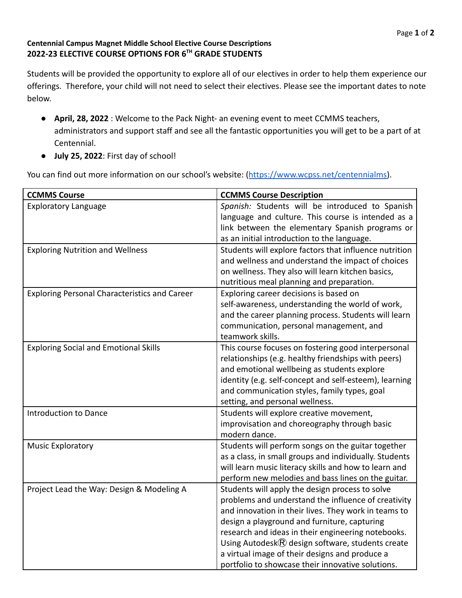## **Centennial Campus Magnet Middle School Elective Course Descriptions 2022-23 ELECTIVE COURSE OPTIONS FOR 6TH GRADE STUDENTS**

Students will be provided the opportunity to explore all of our electives in order to help them experience our offerings. Therefore, your child will not need to select their electives. Please see the important dates to note below.

- **April, 28, 2022** : Welcome to the Pack Night- an evening event to meet CCMMS teachers, administrators and support staff and see all the fantastic opportunities you will get to be a part of at Centennial.
- **July 25, 2022**: First day of school!

You can find out more information on our school's website: ([https://www.wcpss.net/centennialms\)](https://www.wcpss.net/centennialms).

| <b>CCMMS Course</b>                                  | <b>CCMMS Course Description</b>                             |
|------------------------------------------------------|-------------------------------------------------------------|
| <b>Exploratory Language</b>                          | Spanish: Students will be introduced to Spanish             |
|                                                      | language and culture. This course is intended as a          |
|                                                      | link between the elementary Spanish programs or             |
|                                                      | as an initial introduction to the language.                 |
| <b>Exploring Nutrition and Wellness</b>              | Students will explore factors that influence nutrition      |
|                                                      | and wellness and understand the impact of choices           |
|                                                      | on wellness. They also will learn kitchen basics,           |
|                                                      | nutritious meal planning and preparation.                   |
| <b>Exploring Personal Characteristics and Career</b> | Exploring career decisions is based on                      |
|                                                      | self-awareness, understanding the world of work,            |
|                                                      | and the career planning process. Students will learn        |
|                                                      | communication, personal management, and                     |
|                                                      | teamwork skills.                                            |
| <b>Exploring Social and Emotional Skills</b>         | This course focuses on fostering good interpersonal         |
|                                                      | relationships (e.g. healthy friendships with peers)         |
|                                                      | and emotional wellbeing as students explore                 |
|                                                      | identity (e.g. self-concept and self-esteem), learning      |
|                                                      | and communication styles, family types, goal                |
|                                                      | setting, and personal wellness.                             |
| Introduction to Dance                                | Students will explore creative movement,                    |
|                                                      | improvisation and choreography through basic                |
|                                                      | modern dance.                                               |
| <b>Music Exploratory</b>                             | Students will perform songs on the guitar together          |
|                                                      | as a class, in small groups and individually. Students      |
|                                                      | will learn music literacy skills and how to learn and       |
|                                                      | perform new melodies and bass lines on the guitar.          |
| Project Lead the Way: Design & Modeling A            | Students will apply the design process to solve             |
|                                                      | problems and understand the influence of creativity         |
|                                                      | and innovation in their lives. They work in teams to        |
|                                                      | design a playground and furniture, capturing                |
|                                                      | research and ideas in their engineering notebooks.          |
|                                                      | Using Autodesk $\circledR$ design software, students create |
|                                                      | a virtual image of their designs and produce a              |
|                                                      | portfolio to showcase their innovative solutions.           |